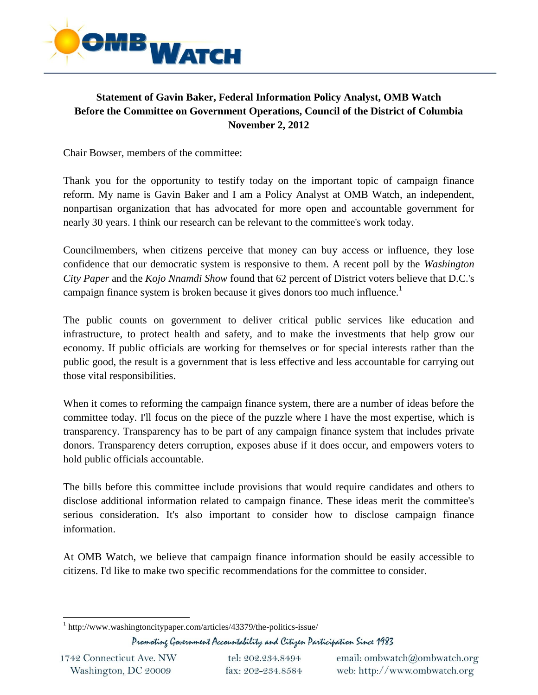

## **Statement of Gavin Baker, Federal Information Policy Analyst, OMB Watch Before the Committee on Government Operations, Council of the District of Columbia November 2, 2012**

Chair Bowser, members of the committee:

Thank you for the opportunity to testify today on the important topic of campaign finance reform. My name is Gavin Baker and I am a Policy Analyst at OMB Watch, an independent, nonpartisan organization that has advocated for more open and accountable government for nearly 30 years. I think our research can be relevant to the committee's work today.

Councilmembers, when citizens perceive that money can buy access or influence, they lose confidence that our democratic system is responsive to them. A recent poll by the *Washington City Paper* and the *Kojo Nnamdi Show* found that 62 percent of District voters believe that D.C.'s campaign finance system is broken because it gives donors too much influence.<sup>1</sup>

The public counts on government to deliver critical public services like education and infrastructure, to protect health and safety, and to make the investments that help grow our economy. If public officials are working for themselves or for special interests rather than the public good, the result is a government that is less effective and less accountable for carrying out those vital responsibilities.

When it comes to reforming the campaign finance system, there are a number of ideas before the committee today. I'll focus on the piece of the puzzle where I have the most expertise, which is transparency. Transparency has to be part of any campaign finance system that includes private donors. Transparency deters corruption, exposes abuse if it does occur, and empowers voters to hold public officials accountable.

The bills before this committee include provisions that would require candidates and others to disclose additional information related to campaign finance. These ideas merit the committee's serious consideration. It's also important to consider how to disclose campaign finance information.

At OMB Watch, we believe that campaign finance information should be easily accessible to citizens. I'd like to make two specific recommendations for the committee to consider.

Promoting Government Accountability and Citizen Participation Since 1983

tel: 202.234.8494 fax: 202-234.8584

<sup>&</sup>lt;sup>1</sup> http://www.washingtoncitypaper.com/articles/43379/the-politics-issue/